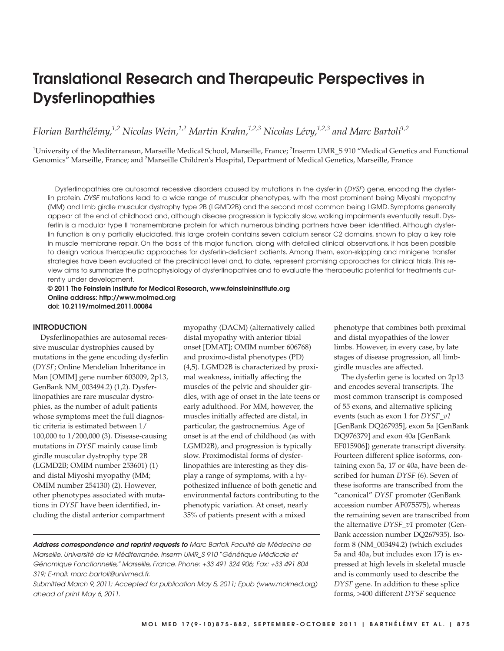# **Translational Research and Therapeutic Perspectives in Dysferlinopathies**

*Florian Barthélémy,1,2 Nicolas Wein,1,2 Martin Krahn,1,2,3 Nicolas Lévy,1,2,3 and Marc Bartoli1,2*

 $^1$ University of the Mediterranean, Marseille Medical School, Marseille, France;  $^2$ Inserm UMR\_S 910 "Medical Genetics and Functional Genomics" Marseille, France; and <sup>3</sup>Marseille Children's Hospital, Department of Medical Genetics, Marseille, France

Dysferlinopathies are autosomal recessive disorders caused by mutations in the dysferlin (DYSF) gene, encoding the dysferlin protein. DYSF mutations lead to a wide range of muscular phenotypes, with the most prominent being Miyoshi myopathy (MM) and limb girdle muscular dystrophy type 2B (LGMD2B) and the second most common being LGMD. Symptoms generally appear at the end of childhood and, although disease progression is typically slow, walking impairments eventually result. Dysferlin is a modular type II transmembrane protein for which numerous binding partners have been identified. Although dysferlin function is only partially elucidated, this large protein contains seven calcium sensor C2 domains, shown to play a key role in muscle membrane repair. On the basis of this major function, along with detailed clinical observations, it has been possible to design various therapeutic approaches for dysferlin-deficient patients. Among them, exon-skipping and minigene transfer strategies have been evaluated at the preclinical level and, to date, represent promising approaches for clinical trials. This review aims to summarize the pathophysiology of dysferlinopathies and to evaluate the therapeutic potential for treatments currently under development.

#### **© 2011 The Feinstein Institute for Medical Research, www.feinsteininstitute.org Online address: http://www.molmed.org doi: 10.2119/molmed.2011.00084**

#### **INTRODUCTION**

Dysferlinopathies are autosomal recessive muscular dystrophies caused by mutations in the gene encoding dysferlin (*DYSF*; Online Mendelian Inheritance in Man [OMIM] gene number 603009, 2p13, GenBank NM\_003494.2) (1,2). Dysferlinopathies are rare muscular dystrophies, as the number of adult patients whose symptoms meet the full diagnostic criteria is estimated between 1/ 100,000 to 1/200,000 (3). Disease-causing mutations in *DYSF* mainly cause limb girdle muscular dystrophy type 2B (LGMD2B; OMIM number 253601) (1) and distal Miyoshi myopathy (MM; OMIM number 254130) (2). However, other phenotypes associated with mutations in *DYSF* have been identified, including the distal anterior compartment

myopathy (DACM) (alternatively called distal myopathy with anterior tibial onset [DMAT]; OMIM number 606768) and proximo-distal phenotypes (PD) (4,5). LGMD2B is characterized by proximal weakness, initially affecting the muscles of the pelvic and shoulder girdles, with age of onset in the late teens or early adulthood. For MM, however, the muscles initially affected are distal, in particular, the gastrocnemius. Age of onset is at the end of childhood (as with LGMD2B), and progression is typically slow. Proximodistal forms of dysferlinopathies are interesting as they display a range of symptoms, with a hypothesized influence of both genetic and environmental factors contributing to the phenotypic variation. At onset, nearly 35% of patients present with a mixed

**Address correspondence and reprint requests to** Marc Bartoli, Faculté de Médecine de Marseille, Université de la Méditerranée, Inserm UMR\_S 910 "Génétique Médicale et Génomique Fonctionnelle," Marseille, France. Phone: +33 491 324 906; Fax: +33 491 804 319; E-mail: marc.bartoli@univmed.fr.

Submitted March 9, 2011; Accepted for publication May 5, 2011; Epub (www.molmed.org) ahead of print May 6, 2011.

phenotype that combines both proximal and distal myopathies of the lower limbs. However, in every case, by late stages of disease progression, all limbgirdle muscles are affected.

The dysferlin gene is located on 2p13 and encodes several transcripts. The most common transcript is composed of 55 exons, and alternative splicing events (such as exon 1 for *DYSF\_v1* [GenBank DQ267935], exon 5a [GenBank DQ976379] and exon 40a [GenBank EF015906]) generate transcript diversity. Fourteen different splice isoforms, containing exon 5a, 17 or 40a, have been described for human *DYSF* (6). Seven of these isoforms are transcribed from the "canonical" *DYSF* promoter (GenBank accession number AF075575), whereas the remaining seven are transcribed from the alternative *DYSF\_v1* promoter (Gen-Bank accession number DQ267935). Isoform 8 (NM\_003494.2) (which excludes 5a and 40a, but includes exon 17) is expressed at high levels in skeletal muscle and is commonly used to describe the *DYSF* gene. In addition to these splice forms, >400 different *DYSF* sequence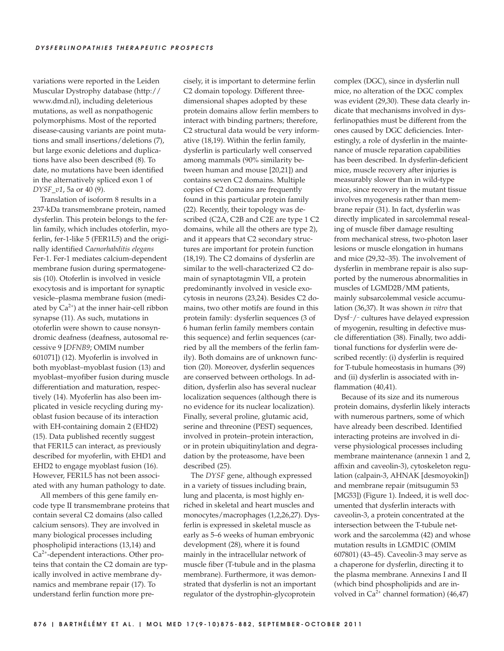variations were reported in the Leiden Muscular Dystrophy database (http:// www.dmd.nl), including deleterious mutations, as well as nonpathogenic polymorphisms. Most of the reported disease-causing variants are point mutations and small insertions/deletions (7), but large exonic deletions and duplications have also been described (8). To date, no mutations have been identified in the alternatively spliced exon 1 of *DYSF\_v1*, 5a or 40 (9).

Translation of isoform 8 results in a 237-kDa transmembrane protein, named dysferlin. This protein belongs to the ferlin family, which includes otoferlin, myoferlin, fer-1-like 5 (FER1L5) and the originally identified *Caenorhabditis elegans* Fer-1. Fer-1 mediates calcium-dependent membrane fusion during spermatogenesis (10). Otoferlin is involved in vesicle exocytosis and is important for synaptic vesicle– plasma membrane fusion (mediated by  $Ca^{2+}$ ) at the inner hair-cell ribbon synapse (11). As such, mutations in otoferlin were shown to cause nonsyndromic deafness (deafness, autosomal recessive 9 [*DFNB9*; OMIM number 601071]) (12). Myoferlin is involved in both myoblast–myoblast fusion (13) and myoblast–myofiber fusion during muscle differentiation and maturation, respectively (14). Myoferlin has also been implicated in vesicle recycling during myoblast fusion because of its interaction with EH-containing domain 2 (EHD2) (15). Data published recently suggest that FER1L5 can interact, as previously described for myoferlin, with EHD1 and EHD2 to engage myoblast fusion (16). However, FER1L5 has not been associated with any human pathology to date.

All members of this gene family encode type II transmembrane proteins that contain several C2 domains (also called calcium sensors). They are involved in many biological processes including phospholipid interactions (13,14) and  $Ca<sup>2+</sup>$ -dependent interactions. Other proteins that contain the C2 domain are typically involved in active membrane dynamics and membrane repair (17). To understand ferlin function more precisely, it is important to determine ferlin C2 domain topology. Different three dimensional shapes adopted by these protein domains allow ferlin members to interact with binding partners; therefore, C2 structural data would be very informative (18,19). Within the ferlin family, dysferlin is particularly well conserved among mammals (90% similarity between human and mouse [20,21]) and contains seven C2 domains. Multiple copies of C2 domains are frequently found in this particular protein family (22). Recently, their topology was described (C2A, C2B and C2E are type 1 C2 domains, while all the others are type 2), and it appears that C2 secondary structures are important for protein function (18,19). The C2 domains of dysferlin are similar to the well-characterized C2 domain of synaptotagmin VII, a protein predominantly involved in vesicle exocytosis in neurons (23,24). Besides C2 domains, two other motifs are found in this protein family: dysferlin sequences (3 of 6 human ferlin family members contain this sequence) and ferlin sequences (carried by all the members of the ferlin family). Both domains are of unknown function (20). Moreover, dysferlin sequences are conserved between orthologs. In addition, dysferlin also has several nuclear localization sequences (although there is no evidence for its nuclear localization). Finally, several proline, glutamic acid, serine and threonine (PEST) sequences, involved in protein–protein interaction, or in protein ubiquitinylation and degradation by the proteasome, have been described (25).

The *DYSF* gene, although expressed in a variety of tissues including brain, lung and placenta, is most highly enriched in skeletal and heart muscles and monocytes/ macrophages (1,2,26,27). Dysferlin is expressed in skeletal muscle as early as 5–6 weeks of human embryonic development (28), where it is found mainly in the intracellular network of muscle fiber (T-tubule and in the plasma membrane). Furthermore, it was demonstrated that dysferlin is not an important regulator of the dystrophin-glycoprotein

complex (DGC), since in dysferlin null mice, no alteration of the DGC complex was evident (29,30). These data clearly indicate that mechanisms involved in dysferlinopathies must be different from the ones caused by DGC deficiencies. Interestingly, a role of dysferlin in the maintenance of muscle reparation capabilities has been described. In dysferlin-deficient mice, muscle recovery after injuries is measurably slower than in wild-type mice, since recovery in the mutant tissue involves myogenesis rather than membrane repair (31). In fact, dysferlin was directly implicated in sarcolemmal resealing of muscle fiber damage resulting from mechanical stress, two-photon laser lesions or muscle elongation in humans and mice (29,32–35). The involvement of dysferlin in membrane repair is also supported by the numerous abnormalities in muscles of LGMD2B/MM patients, mainly subsarcolemmal vesicle accumulation (36,37). It was shown *in vitro* that Dysf-/- cultures have delayed expression of myogenin, resulting in defective muscle differentiation (38). Finally, two additional functions for dysferlin were described recently: (i) dysferlin is required for T-tubule homeostasis in humans (39) and (ii) dysferlin is associated with inflammation (40,41).

Because of its size and its numerous protein domains, dysferlin likely interacts with numerous partners, some of which have already been described. Identified interacting proteins are involved in diverse physiological processes including membrane maintenance (annexin 1 and 2, affixin and caveolin-3), cytoskeleton regulation (calpain-3, AHNAK [desmoyokin]) and membrane repair (mitsugumin 53 [MG53]) (Figure 1). Indeed, it is well documented that dysferlin interacts with caveolin-3, a protein concentrated at the intersection between the T-tubule network and the sarcolemma (42) and whose mutation results in LGMD1C (OMIM 607801) (43-45). Caveolin-3 may serve as a chaperone for dysferlin, directing it to the plasma membrane. Annexins I and II (which bind phospholipids and are involved in  $Ca^{2+}$  channel formation) (46,47)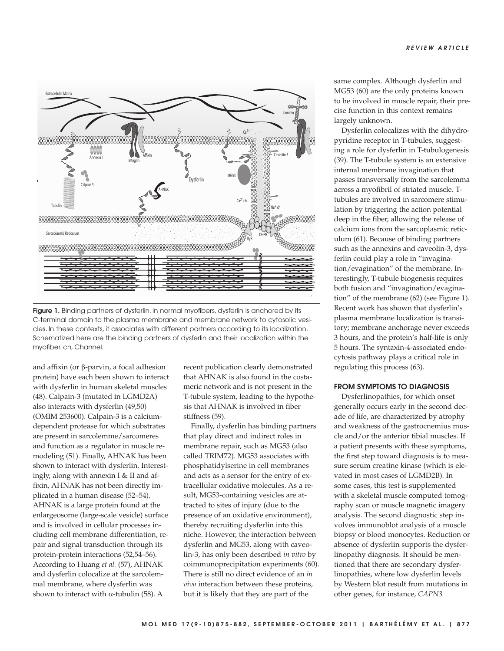

**Figure 1.** Binding partners of dysferlin. In normal myofibers, dysferlin is anchored by its C-terminal domain to the plasma membrane and membrane network to cytosolic vesicles. In these contexts, it associates with different partners according to its localization. Schematized here are the binding partners of dysferlin and their localization within the myofiber. ch, Channel.

and affixin (or β-parvin, a focal adhesion protein) have each been shown to interact with dysferlin in human skeletal muscles (48). Calpain-3 (mutated in LGMD2A) also interacts with dysferlin (49,50) (OMIM 253600). Calpain-3 is a calciumdependent protease for which substrates are present in sarcolemme/sarcomeres and function as a regulator in muscle remodeling (51). Finally, AHNAK has been shown to interact with dysferlin. Interestingly, along with annexin I & II and affixin, AHNAK has not been directly implicated in a human disease (52–54). AHNAK is a large protein found at the enlargeosome (large-scale vesicle) surface and is involved in cellular processes including cell membrane differentiation, repair and signal transduction through its protein-protein interactions (52,54–56). According to Huang *et al.* (57), AHNAK and dysferlin colocalize at the sarcolemmal membrane, where dysferlin was shown to interact with  $\alpha$ -tubulin (58). A

recent publication clearly demonstrated that AHNAK is also found in the costameric network and is not present in the T-tubule system, leading to the hypothesis that AHNAK is involved in fiber stiffness (59).

Finally, dysferlin has binding partners that play direct and indirect roles in membrane repair, such as MG53 (also called TRIM72). MG53 associates with phosphatidylserine in cell membranes and acts as a sensor for the entry of extracellular oxidative molecules. As a result, MG53-containing vesicles are attracted to sites of injury (due to the presence of an oxidative environment), thereby recruiting dysferlin into this niche. However, the interaction between dysferlin and MG53, along with caveolin-3, has only been described *in vitro* by coimmunoprecipitation experiments (60). There is still no direct evidence of an *in vivo* interaction between these proteins, but it is likely that they are part of the

same complex. Although dysferlin and MG53 (60) are the only proteins known to be involved in muscle repair, their precise function in this context remains largely unknown.

Dysferlin colocalizes with the dihydropyridine receptor in T-tubules, suggesting a role for dysferlin in T-tubulogenesis (39). The T-tubule system is an extensive internal membrane invagination that passes transversally from the sarcolemma across a myofibril of striated muscle. Ttubules are involved in sarcomere stimulation by triggering the action potential deep in the fiber, allowing the release of calcium ions from the sarcoplasmic reticulum (61). Because of binding partners such as the annexins and caveolin-3, dysferlin could play a role in "invagination/evagination" of the membrane. Interestingly, T-tubule biogenesis requires both fusion and "invagination/ evagination" of the membrane (62) (see Figure 1). Recent work has shown that dysferlin's plasma membrane localization is transitory; membrane anchorage never exceeds 3 hours, and the protein's half-life is only 5 hours. The syntaxin-4-associated endocytosis pathway plays a critical role in regulating this process (63).

#### **FROM SYMPTOMS TO DIAGNOSIS**

Dysferlinopathies, for which onset generally occurs early in the second decade of life, are characterized by atrophy and weakness of the gastrocnemius muscle and/or the anterior tibial muscles. If a patient presents with these symptoms, the first step toward diagnosis is to measure serum creatine kinase (which is elevated in most cases of LGMD2B). In some cases, this test is supplemented with a skeletal muscle computed tomography scan or muscle magnetic imagery analysis. The second diagnostic step involves immunoblot analysis of a muscle biopsy or blood monocytes. Reduction or absence of dysferlin supports the dysferlinopathy diagnosis. It should be mentioned that there are secondary dysferlinopathies, where low dysferlin levels by Western blot result from mutations in other genes, for instance, *CAPN3*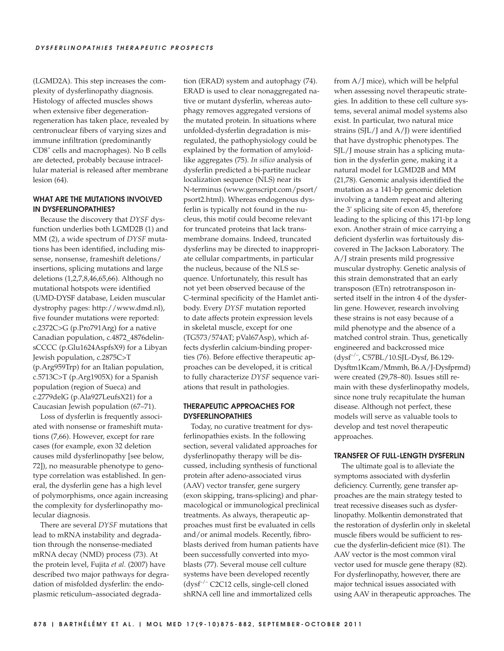(LGMD2A). This step increases the complexity of dysferlinopathy diagnosis. Histology of affected muscles shows when extensive fiber degeneration regeneration has taken place, revealed by centronuclear fibers of varying sizes and immune infiltration (predominantly CD8<sup>+</sup> cells and macrophages). No B cells are detected, probably because intracellular material is released after membrane lesion (64).

# **WHAT ARE THE MUTATIONS INVOLVED IN DYSFERLINOPATHIES?**

Because the discovery that *DYSF* dysfunction underlies both LGMD2B (1) and MM (2), a wide spectrum of *DYSF* mutations has been identified, including missense, nonsense, frameshift deletions/ insertions, splicing mutations and large deletions (1,2,7,8,46,65,66). Although no mutational hotspots were identified (UMD-DYSF database, Leiden muscular dystrophy pages: http:// www. dmd.nl), five founder mutations were reported: c.2372C>G (p.Pro791Arg) for a native Canadian population, c.4872\_4876delinsCCCC (p.Glu1624AspfsX9) for a Libyan Jewish population, c.2875C>T (p.Arg959Trp) for an Italian population, c.5713C>T (p.Arg1905X) for a Spanish population (region of Sueca) and c.2779delG (p.Ala927LeufsX21) for a Caucasian Jewish population (67–71).

Loss of dysferlin is frequently associated with nonsense or frameshift mutations (7,66). However, except for rare cases (for example, exon 32 deletion causes mild dysferlinopathy [see below, 72]), no measurable phenotype to genotype correlation was established. In general, the dysferlin gene has a high level of polymorphisms, once again increasing the complexity for dysferlinopathy molecular diagnosis.

There are several *DYSF* mutations that lead to mRNA instability and degradation through the nonsense-mediated mRNA decay (NMD) process (73). At the protein level, Fujita *et al.* (2007) have described two major pathways for degradation of misfolded dysferlin: the endoplasmic reticulum–associated degradation (ERAD) system and autophagy (74). ERAD is used to clear nonaggregated native or mutant dysferlin, whereas autophagy removes aggregated versions of the mutated protein. In situations where unfolded-dysferlin degradation is misregulated, the pathophysiology could be explained by the formation of amyloidlike aggregates (75). *In silico* analysis of dysferlin predicted a bi-partite nuclear localization sequence (NLS) near its N-terminus (www.genscript.com/psort/ psort2.html). Whereas endogenous dysferlin is typically not found in the nucleus, this motif could become relevant for truncated proteins that lack transmembrane domains. Indeed, truncated dysferlins may be directed to inappropriate cellular compartments, in particular the nucleus, because of the NLS sequence. Unfortunately, this result has not yet been observed because of the C-terminal specificity of the Hamlet antibody. Every *DYSF* mutation reported to date affects protein expression levels in skeletal muscle, except for one (TG573/574AT; pVal67Asp), which affects dysferlin calcium-binding properties (76). Before effective therapeutic approaches can be developed, it is critical to fully characterize *DYSF* sequence variations that result in pathologies.

## **THERAPEUTIC APPROACHES FOR DYSFERLINOPATHIES**

Today, no curative treatment for dysferlinopathies exists. In the following section, several validated approaches for dysferlinopathy therapy will be discussed, including synthesis of functional protein after adeno-associated virus (AAV) vector transfer, gene surgery (exon skipping, trans-splicing) and pharmacological or immunological preclinical treatments. As always, therapeutic approaches must first be evaluated in cells and/or animal models. Recently, fibroblasts derived from human patients have been successfully converted into myoblasts (77). Several mouse cell culture systems have been developed recently (dysf–/– C2C12 cells, single-cell cloned shRNA cell line and immortalized cells

from A/J mice), which will be helpful when assessing novel therapeutic strategies. In addition to these cell culture systems, several animal model systems also exist. In particular, two natural mice strains (SJL/J and A/J) were identified that have dystrophic phenotypes. The SJL/J mouse strain has a splicing mutation in the dysferlin gene, making it a natural model for LGMD2B and MM (21,78). Genomic analysis identified the mutation as a 141-bp genomic deletion involving a tandem repeat and altering the 3′ splicing site of exon 45, therefore leading to the splicing of this 171-bp long exon. Another strain of mice carrying a deficient dysferlin was fortuitously discovered in The Jackson Laboratory. The A/J strain presents mild progressive muscular dystrophy. Genetic analysis of this strain demonstrated that an early transposon (ETn) retrotransposon inserted itself in the intron 4 of the dysferlin gene. However, research involving these strains is not easy because of a mild phenotype and the absence of a matched control strain. Thus, genetically engineered and backcrossed mice (dysf–/–, C57BL/10.SJL-Dysf, B6.129- Dysftm1Kcam/Mmmh, B6.A/ J-Dysfprmd) were created (29,78–80). Issues still remain with these dysferlinopathy models, since none truly recapitulate the human disease. Although not perfect, these models will serve as valuable tools to develop and test novel therapeutic approaches.

#### **TRANSFER OF FULL-LENGTH DYSFERLIN**

The ultimate goal is to alleviate the symptoms associated with dysferlin deficiency. Currently, gene transfer approaches are the main strategy tested to treat recessive diseases such as dysferlinopathy. Molkentin demonstrated that the restoration of dysferlin only in skeletal muscle fibers would be sufficient to rescue the dysferlin-deficient mice (81). The AAV vector is the most common viral vector used for muscle gene therapy (82). For dysferlinopathy, however, there are major technical issues associated with using AAV in therapeutic approaches. The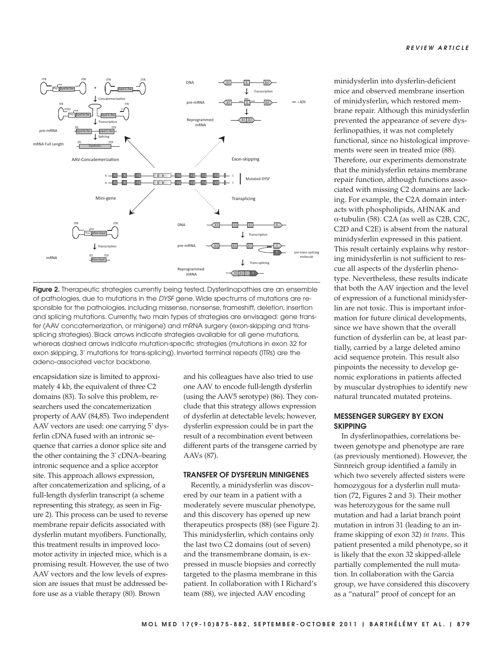

**Figure 2.** Therapeutic strategies currently being tested. Dysferlinopathies are an ensemble of pathologies, due to mutations in the DYSF gene. Wide spectrums of mutations are responsible for the pathologies, including missense, nonsense, frameshift, deletion, insertion and splicing mutations. Currently, two main types of strategies are envisaged: gene transfer (AAV concatemerization, or minigene) and mRNA surgery (exon-skipping and transsplicing strategies). Black arrows indicate strategies available for all gene mutations, whereas dashed arrows indicate mutation-specific strategies (mutations in exon 32 for exon skipping, 3′ mutations for trans-splicing). Inverted terminal repeats (ITRs) are the adeno-associated vector backbone.

encapsidation size is limited to approximately 4 kb, the equivalent of three C2 domains (83). To solve this problem, researchers used the concatemerization property of AAV (84,85)*.* Two independent AAV vectors are used: one carrying 5′ dysferlin cDNA fused with an intronic sequence that carries a donor splice site and the other containing the 3′ cDNA–bearing intronic sequence and a splice acceptor site. This approach allows expression, after concatemerization and splicing, of a full-length dysferlin transcript (a scheme representing this strategy, as seen in Figure 2). This process can be used to reverse membrane repair deficits associated with dysferlin mutant myofibers. Functionally, this treatment results in improved locomotor activity in injected mice, which is a promising result. However, the use of two AAV vectors and the low levels of expression are issues that must be addressed before use as a viable therapy (80). Brown

and his colleagues have also tried to use one AAV to encode full-length dysferlin (using the AAV5 serotype) (86). They conclude that this strategy allows expression of dysferlin at detectable levels; however, dysferlin expression could be in part the result of a recombination event between different parts of the transgene carried by AAVs (87).

#### **TRANSFER OF DYSFERLIN MINIGENES**

Recently, a minidysferlin was discovered by our team in a patient with a moderately severe muscular phenotype, and this discovery has opened up new therapeutics prospects (88) (see Figure 2). This minidysferlin, which contains only the last two C2 domains (out of seven) and the transmembrane domain, is expressed in muscle biopsies and correctly targeted to the plasma membrane in this patient. In collaboration with I Richard's team (88), we injected AAV encoding

minidysferlin into dysferlin-deficient mice and observed membrane insertion of minidysferlin, which restored membrane repair. Although this minidysferlin prevented the appearance of severe dysferlinopathies, it was not completely functional, since no histological improvements were seen in treated mice (88). Therefore, our experiments demonstrate that the minidysferlin retains membrane repair function, although functions associated with missing C2 domains are lacking. For example, the C2A domain interacts with phospholipids, AHNAK and α-tubulin (58). C2A (as well as C2B, C2C, C2D and C2E) is absent from the natural minidysferlin expressed in this patient. This result certainly explains why restoring minidysferlin is not sufficient to rescue all aspects of the dysferlin phenotype. Nevertheless, these results indicate that both the AAV injection and the level of expression of a functional minidysferlin are not toxic. This is important information for future clinical developments, since we have shown that the overall function of dysferlin can be, at least partially, carried by a large deleted amino acid sequence protein. This result also pinpoints the necessity to develop genomic explorations in patients affected by muscular dystrophies to identify new natural truncated mutated proteins.

#### **MESSENGER SURGERY BY EXON SKIPPING**

In dysferlinopathies, correlations between genotype and phenotype are rare (as previously mentioned). However, the Sinnreich group identified a family in which two severely affected sisters were homozygous for a dysferlin null mutation (72, Figures 2 and 3). Their mother was heterozygous for the same null mutation and had a lariat branch point mutation in intron 31 (leading to an inframe skipping of exon 32) *in trans*. This patient presented a mild phenotype, so it is likely that the exon 32 skipped-allele partially complemented the null mutation. In collaboration with the Garcia group, we have considered this discovery as a "natural" proof of concept for an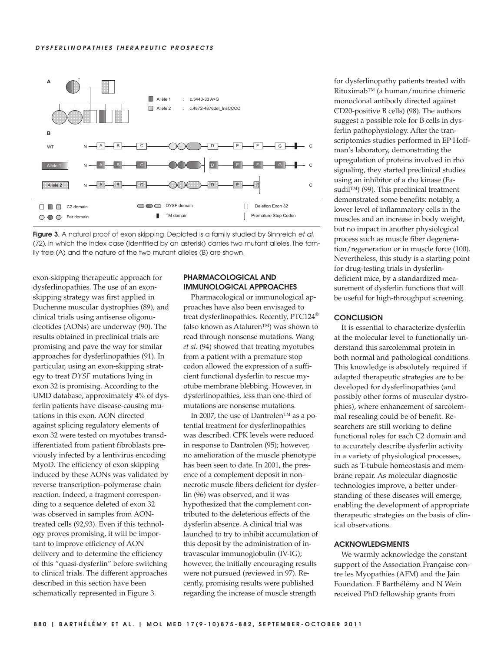#### **DYSFERLINOPATHIES THERAPEUTIC PROSPECTS**





exon-skipping therapeutic approach for dysferlinopathies. The use of an exonskipping strategy was first applied in Duchenne muscular dystrophies (89), and clinical trials using antisense oligonucleotides (AONs) are underway (90). The results obtained in preclinical trials are promising and pave the way for similar approaches for dysferlinopathies (91). In particular, using an exon-skipping strategy to treat *DYSF* mutations lying in exon 32 is promising. According to the UMD database, approximately 4% of dysferlin patients have disease-causing mutations in this exon. AON directed against splicing regulatory elements of exon 32 were tested on myotubes transdifferentiated from patient fibroblasts previously infected by a lentivirus encoding MyoD. The efficiency of exon skipping induced by these AONs was validated by reverse transcription–polymerase chain reaction. Indeed, a fragment corresponding to a sequence deleted of exon 32 was observed in samples from AONtreated cells (92,93). Even if this technology proves promising, it will be important to improve efficiency of AON delivery and to determine the efficiency of this "quasi-dysferlin" before switching to clinical trials. The different approaches described in this section have been schematically represented in Figure 3.

# **PHARMACOLOGICAL AND IMMUNOLOGICAL APPROACHES**

Pharmacological or immunological approaches have also been envisaged to treat dysferlinopathies. Recently, PTC124® (also known as Ataluren™) was shown to read through nonsense mutations. Wang *et al.* (94) showed that treating myotubes from a patient with a premature stop codon allowed the expression of a sufficient functional dysferlin to rescue myotube membrane blebbing. However, in dysferlinopathies, less than one-third of mutations are nonsense mutations.

In 2007, the use of Dantrolen™ as a potential treatment for dysferlinopathies was described. CPK levels were reduced in response to Dantrolen (95); however, no amelioration of the muscle phenotype has been seen to date. In 2001, the presence of a complement deposit in nonnecrotic muscle fibers deficient for dysferlin (96) was observed, and it was hypothesized that the complement contributed to the deleterious effects of the dysferlin absence. A clinical trial was launched to try to inhibit accumulation of this deposit by the administration of intravascular immunoglobulin (IV-IG); however, the initially encouraging results were not pursued (reviewed in 97). Recently, promising results were published regarding the increase of muscle strength

for dysferlinopathy patients treated with Rituximab™ (a human/murine chimeric monoclonal antibody directed against CD20-positive B cells) (98). The authors suggest a possible role for B cells in dysferlin pathophysiology. After the transcriptomics studies performed in EP Hoffman's laboratory, demonstrating the upregulation of proteins involved in rho signaling, they started preclinical studies using an inhibitor of a rho kinase (Fasudil™) (99). This preclinical treatment demonstrated some benefits: notably, a lower level of inflammatory cells in the muscles and an increase in body weight, but no impact in another physiological process such as muscle fiber degeneration/regeneration or in muscle force (100). Nevertheless, this study is a starting point for drug-testing trials in dysferlin deficient mice, by a standardized measurement of dysferlin functions that will be useful for high-throughput screening.

## **CONCLUSION**

It is essential to characterize dysferlin at the molecular level to functionally understand this sarcolemmal protein in both normal and pathological conditions. This knowledge is absolutely required if adapted therapeutic strategies are to be developed for dysferlinopathies (and possibly other forms of muscular dystrophies), where enhancement of sarcolemmal resealing could be of benefit. Researchers are still working to define functional roles for each C2 domain and to accurately describe dysferlin activity in a variety of physiological processes, such as T-tubule homeostasis and membrane repair. As molecular diagnostic technologies improve, a better understanding of these diseases will emerge, enabling the development of appropriate therapeutic strategies on the basis of clinical observations.

#### **ACKNOWLEDGMENTS**

We warmly acknowledge the constant support of the Association Française contre les Myopathies (AFM) and the Jain Foundation. F Barthélémy and N Wein received PhD fellowship grants from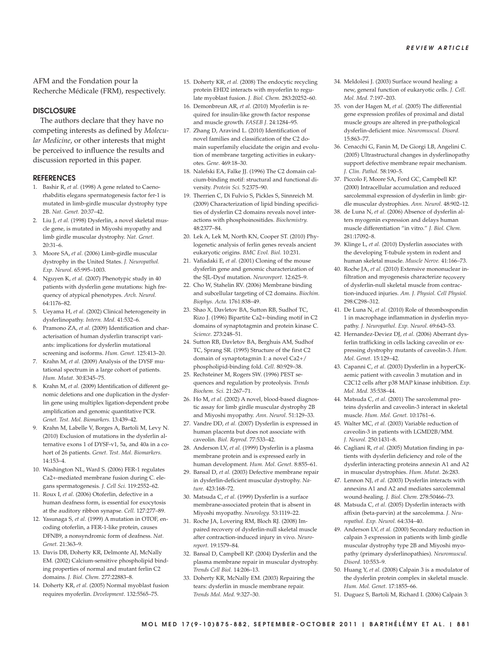AFM and the Fondation pour la Recherche Médicale (FRM), respectively.

#### **DISCLOSURE**

The authors declare that they have no competing interests as defined by *Molecular Medicine*, or other interests that might be perceived to influence the results and discussion reported in this paper.

#### **REFERENCES**

- 1. Bashir R, *et al.* (1998) A gene related to Caenorhabditis elegans spermatogenesis factor fer-1 is mutated in limb-girdle muscular dystrophy type 2B. *Nat. Genet.* 20:37–42.
- 2. Liu J, *et al.* (1998) Dysferlin, a novel skeletal muscle gene, is mutated in Miyoshi myopathy and limb girdle muscular dystrophy. *Nat. Genet.* 20:31–6.
- 3. Moore SA, *et al.* (2006) Limb-girdle muscular dystrophy in the United States. *J. Neuropathol. Exp. Neurol.* 65:995–1003.
- 4. Nguyen K, *et al.* (2007) Phenotypic study in 40 patients with dysferlin gene mutations: high frequency of atypical phenotypes. *Arch. Neurol.* 64:1176–82.
- 5. Ueyama H, *et al.* (2002) Clinical heterogeneity in dysferlinopathy. *Intern. Med.* 41:532–6.
- 6. Pramono ZA, *et al.* (2009) Identification and characterisation of human dysferlin transcript variants: implications for dysferlin mutational screening and isoforms. *Hum. Genet.* 125:413–20.
- 7. Krahn M, *et al.* (2009) Analysis of the DYSF mutational spectrum in a large cohort of patients. *Hum. Mutat.* 30:E345–75.
- 8. Krahn M, *et al.* (2009) Identification of different genomic deletions and one duplication in the dysferlin gene using multiplex ligation- dependent probe amplification and genomic quantitative PCR. *Genet. Test. Mol. Biomarkers.* 13:439–42.
- 9. Krahn M, Labelle V, Borges A, Bartoli M, Levy N. (2010) Exclusion of mutations in the dysferlin alternative exons 1 of DYSF-v1, 5a, and 40a in a cohort of 26 patients. *Genet. Test. Mol. Biomarkers.* 14:153–4.
- 10. Washington NL, Ward S. (2006) FER-1 regulates Ca2+-mediated membrane fusion during C. elegans spermatogenesis. *J. Cell Sci.* 119:2552–62.
- 11. Roux I, *et al.* (2006) Otoferlin, defective in a human deafness form, is essential for exocytosis at the auditory ribbon synapse. *Cell.* 127:277–89.
- 12. Yasunaga S, *et al.* (1999) A mutation in OTOF, encoding otoferlin, a FER-1-like protein, causes DFNB9, a nonsyndromic form of deafness. *Nat. Genet.* 21:363–9.
- 13. Davis DB, Doherty KR, Delmonte AJ, McNally EM. (2002) Calcium-sensitive phospholipid binding properties of normal and mutant ferlin C2 domains. *J. Biol. Chem.* 277:22883–8.
- 14. Doherty KR, *et al.* (2005) Normal myoblast fusion requires myoferlin. *Development.* 132:5565–75.
- 15. Doherty KR, *et al.* (2008) The endocytic recycling protein EHD2 interacts with myoferlin to regulate myoblast fusion. *J. Biol. Chem.* 283:20252–60.
- 16. Demonbreun AR, *et al.* (2010) Myoferlin is required for insulin-like growth factor response and muscle growth. *FASEB J.* 24:1284–95.
- 17. Zhang D, Aravind L. (2010) Identification of novel families and classification of the C2 domain superfamily elucidate the origin and evolution of membrane targeting activities in eukaryotes. *Gene*. 469:18–30.
- 18. Nalefski EA, Falke JJ. (1996) The C2 domain calcium-binding motif: structural and functional diversity. *Protein Sci.* 5:2375–90.
- 19. Therrien C, Di Fulvio S, Pickles S, Sinnreich M. (2009) Characterization of lipid binding specificities of dysferlin C2 domains reveals novel interactions with phosphoinositides. *Biochemistry.* 48:2377–84.
- 20. Lek A, Lek M, North KN, Cooper ST. (2010) Phylogenetic analysis of ferlin genes reveals ancient eukaryotic origins. *BMC Evol. Biol.* 10:231.
- 21. Vafiadaki E, *et al.* (2001) Cloning of the mouse dysferlin gene and genomic characterization of the SJL-Dysf mutation. *Neuroreport.* 12:625–9.
- 22. Cho W, Stahelin RV. (2006) Membrane binding and subcellular targeting of C2 domains. *Biochim. Biophys. Acta.* 1761:838–49.
- 23. Shao X, Davletov BA, Sutton RB, Sudhof TC, Rizo J. (1996) Bipartite Ca2+-binding motif in C2 domains of synaptotagmin and protein kinase C. *Science.* 273:248–51.
- 24. Sutton RB, Davletov BA, Berghuis AM, Sudhof TC, Sprang SR. (1995) Structure of the first C2 domain of synaptotagmin I: a novel Ca2+/ phospholipid-binding fold. *Cell.* 80:929–38.
- 25. Rechsteiner M, Rogers SW. (1996) PEST sequences and regulation by proteolysis. *Trends Biochem. Sci.* 21:267–71.
- 26. Ho M, *et al.* (2002) A novel, blood-based diagnostic assay for limb girdle muscular dystrophy 2B and Miyoshi myopathy. *Ann. Neurol.* 51:129–33.
- 27. Vandre DD, *et al.* (2007) Dysferlin is expressed in human placenta but does not associate with caveolin. *Biol. Reprod.* 77:533–42.
- 28. Anderson LV, *et al.* (1999) Dysferlin is a plasma membrane protein and is expressed early in human development. *Hum. Mol. Genet.* 8:855–61.
- 29. Bansal D, *et al.* (2003) Defective membrane repair in dysferlin-deficient muscular dystrophy. *Nature.* 423:168–72.
- 30. Matsuda C, *et al.* (1999) Dysferlin is a surface membrane-associated protein that is absent in Miyoshi myopathy. *Neurology.* 53:1119–22.
- 31. Roche JA, Lovering RM, Bloch RJ. (2008) Impaired recovery of dysferlin-null skeletal muscle after contraction-induced injury in vivo. *Neuro report.* 19:1579–84.
- 32. Bansal D, Campbell KP. (2004) Dysferlin and the plasma membrane repair in muscular dystrophy. *Trends Cell Biol.* 14:206–13.
- 33. Doherty KR, McNally EM. (2003) Repairing the tears: dysferlin in muscle membrane repair. *Trends Mol. Med.* 9:327–30.
- 34. Meldolesi J. (2003) Surface wound healing: a new, general function of eukaryotic cells. *J. Cell. Mol. Med.* 7:197–203.
- 35. von der Hagen M, *et al.* (2005) The differential gene expression profiles of proximal and distal muscle groups are altered in pre-pathological dysferlin-deficient mice. *Neuromuscul. Disord.* 15:863–77.
- 36. Cenacchi G, Fanin M, De Giorgi LB, Angelini C. (2005) Ultrastructural changes in dysferlinopathy support defective membrane repair mechanism. *J. Clin. Pathol.* 58:190–5.
- 37. Piccolo F, Moore SA, Ford GC, Campbell KP. (2000) Intracellular accumulation and reduced sarcolemmal expression of dysferlin in limb: girdle muscular dystrophies. *Ann. Neurol.* 48:902–12.
- 38. de Luna N, *et al.* (2006) Absence of dysferlin alters myogenin expression and delays human muscle differentiation "in vitro." *J. Biol. Chem.* 281:17092–8.
- 39. Klinge L, *et al.* (2010) Dysferlin associates with the developing T-tubule system in rodent and human skeletal muscle. *Muscle Nerve.* 41:166–73.
- 40. Roche JA, *et al.* (2010) Extensive mononuclear infiltration and myogenesis characterize recovery of dysferlin-null skeletal muscle from contraction-induced injuries. *Am. J. Physiol. Cell Physiol.* 298:C298–312.
- 41. De Luna N, *et al.* (2010) Role of thrombospondin 1 in macrophage inflammation in dysferlin myopathy. *J. Neuropathol. Exp. Neurol.* 69:643–53.
- 42. Hernandez-Deviez DJ, *et al.* (2006) Aberrant dysferlin trafficking in cells lacking caveolin or expressing dystrophy mutants of caveolin-3. *Hum. Mol. Genet.* 15:129–42.
- 43. Capanni C, *et al.* (2003) Dysferlin in a hyperCKaemic patient with caveolin 3 mutation and in C2C12 cells after p38 MAP kinase inhibition. *Exp. Mol. Med.* 35:538–44.
- 44. Matsuda C, *et al.* (2001) The sarcolemmal proteins dysferlin and caveolin-3 interact in skeletal muscle. *Hum. Mol. Genet.* 10:1761–6.
- 45. Walter MC, *et al.* (2003) Variable reduction of caveolin-3 in patients with LGMD2B/MM. *J. Neurol.* 250:1431–8.
- 46. Cagliani R, *et al.* (2005) Mutation finding in patients with dysferlin deficiency and role of the dysferlin interacting proteins annexin A1 and A2 in muscular dystrophies. *Hum. Mutat.* 26:283.
- 47. Lennon NJ, *et al.* (2003) Dysferlin interacts with annexins A1 and A2 and mediates sarcolemmal wound-healing. *J. Biol. Chem.* 278:50466–73.
- 48. Matsuda C, *et al.* (2005) Dysferlin interacts with affixin (beta-parvin) at the sarcolemma. *J. Neuropathol. Exp. Neurol.* 64:334–40.
- 49. Anderson LV, *et al.* (2000) Secondary reduction in calpain 3 expression in patients with limb girdle muscular dystrophy type 2B and Miyoshi myopathy (primary dysferlinopathies). *Neuromuscul. Disord.* 10:553–9.
- 50. Huang Y, *et al.* (2008) Calpain 3 is a modulator of the dysferlin protein complex in skeletal muscle. *Hum. Mol. Genet.* 17:1855–66.
- 51. Duguez S, Bartoli M, Richard I. (2006) Calpain 3: